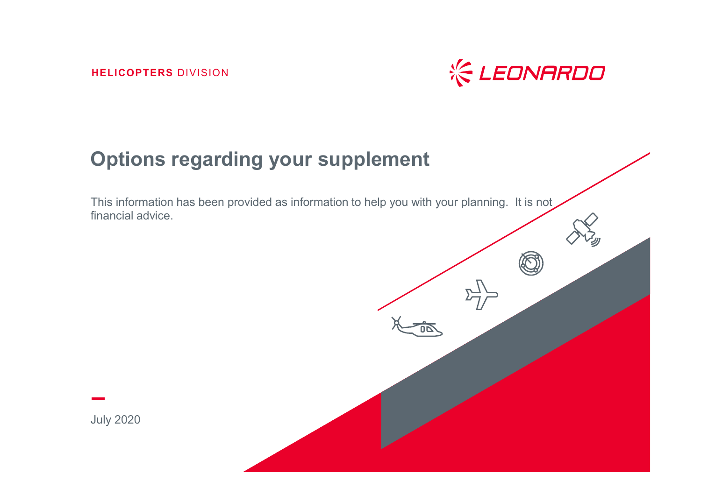**HELICOPTERS** DIVISION



#### **Options regarding your supplement**

This information has been provided as information to help you with your planning. It is not financial advice.

July 2020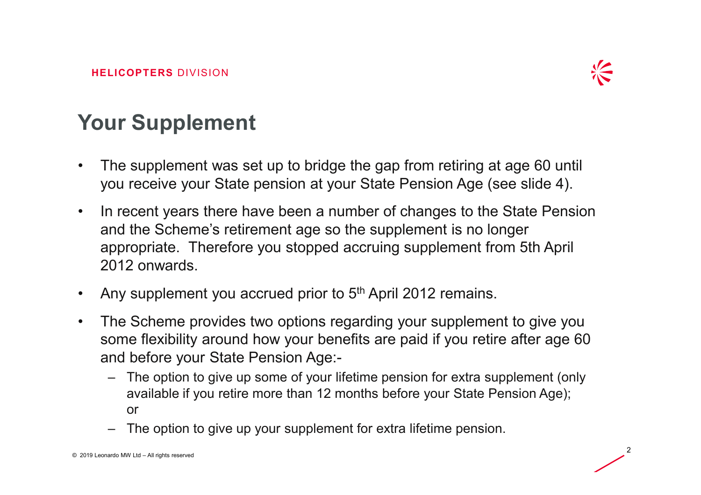

# **Your Supplement**

- • The supplement was set up to bridge the gap from retiring at age 60 until you receive your State pension at your State Pension Age (see slide 4).
- • In recent years there have been a number of changes to the State Pension and the Scheme's retirement age so the supplement is no longer appropriate. Therefore you stopped accruing supplement from 5th April 2012 onwards.
- •Any supplement you accrued prior to 5<sup>th</sup> April 2012 remains.
- $\bullet$  The Scheme provides two options regarding your supplement to give you some flexibility around how your benefits are paid if you retire after age 60 and before your State Pension Age:-
	- The option to give up some of your lifetime pension for extra supplement (only available if you retire more than 12 months before your State Pension Age); or
	- –The option to give up your supplement for extra lifetime pension.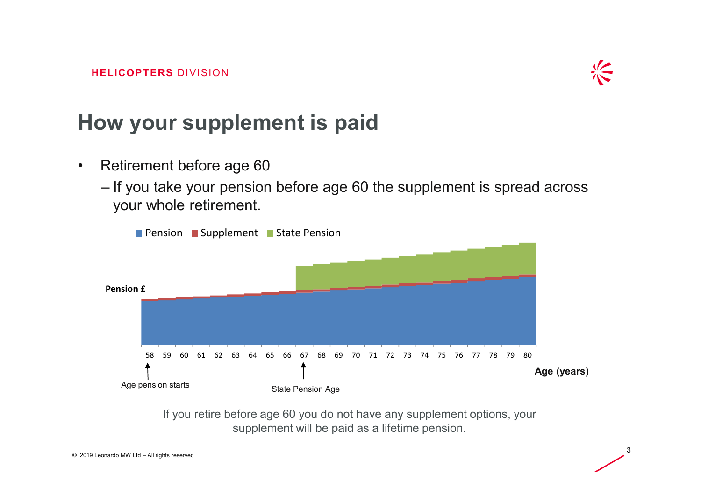

#### **How your supplement is paid**

- $\bullet$  Retirement before age 60
	- If you take your pension before age 60 the supplement is spread across<br>——————————————————— your whole retirement.



If you retire before age 60 you do not have any supplement options, your supplement will be paid as a lifetime pension.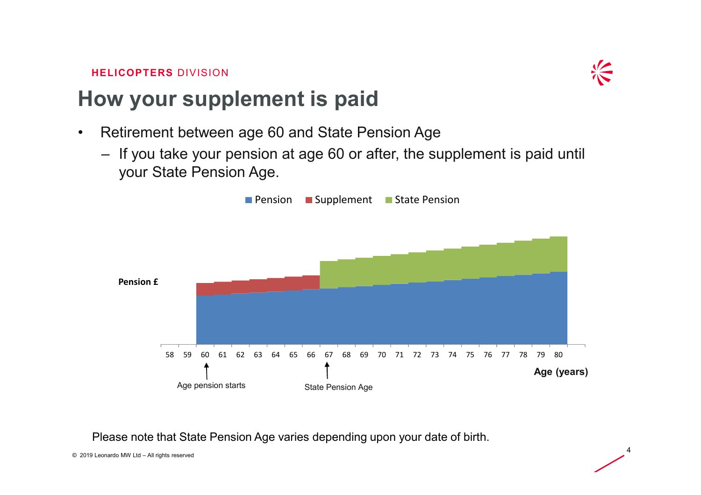

### **How your supplement is paid**

- $\bullet$  Retirement between age 60 and State Pension Age
	- If you take your pension at age 60 or after, the supplement is paid until your State Pension Age.



Please note that State Pension Age varies depending upon your date of birth.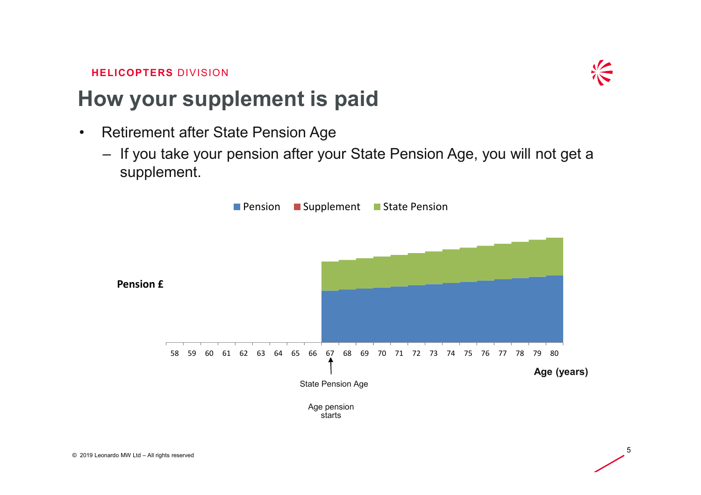

#### **How your supplement is paid**

- • Retirement after State Pension Age
	- If you take your pension after your State Pension Age, you will not get a supplement.

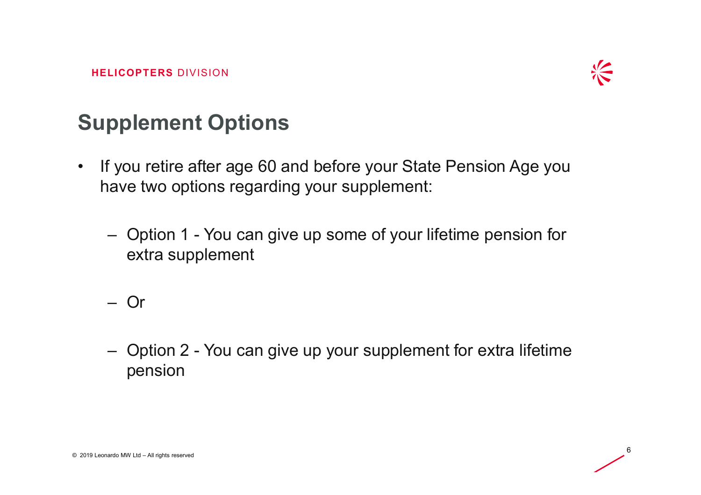

## **Supplement Options**

- $\bullet$  If you retire after age 60 and before your State Pension Age you have two options regarding your supplement:
	- $\mathcal{L}_{\mathcal{A}}$  , and the set of  $\mathcal{L}_{\mathcal{A}}$  Option 1 - You can give up some of your lifetime pension for extra supplement

 $\mathcal{L}_{\mathcal{A}}$ Or

– Option 2 - You can give up your supplement for extra lifetime pension

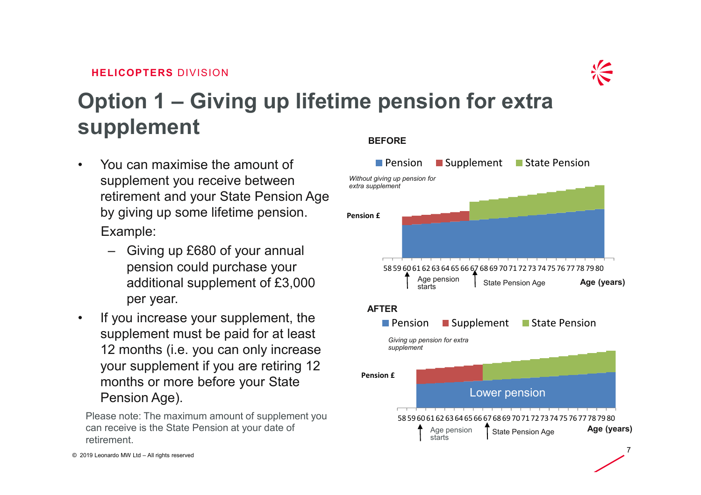

# **Option 1 – Giving up lifetime pension for extra supplement**

- • You can maximise the amount of supplement you receive between retirement and your State Pension Age by giving up some lifetime pension.Example:
	- Giving up £680 of your annual pension could purchase your additional supplement of £3,000 per year.
- • If you increase your supplement, the supplement must be paid for at least 12 months (i.e. you can only increase your supplement if you are retiring 12 months or more before your State Pension Age).

Please note: The maximum amount of supplement you can receive is the State Pension at your date of retirement.

#### **BEFORE**

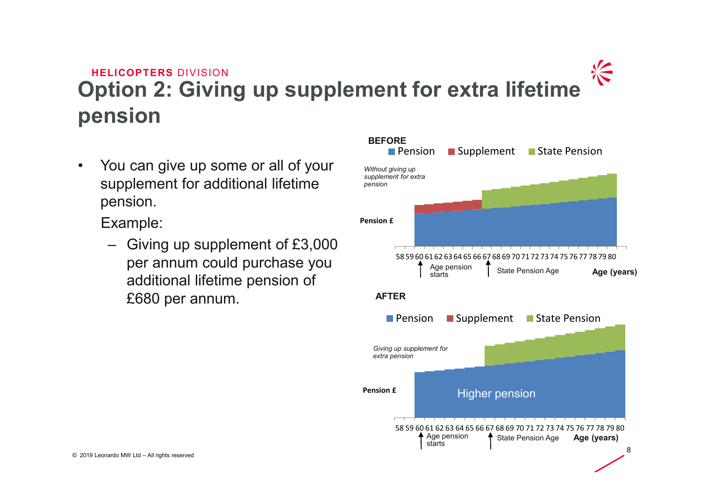#### $\frac{1}{\sqrt{2}}$ **HELICOPTERS** DIVISION **Option 2: Giving up supplement for extra lifetime pension**

 $\bullet$  You can give up some or all of your supplement for additional lifetime pension.

Example:

– Giving up supplement of £3,000 per annum could purchase you additional lifetime pension of £680 per annum.

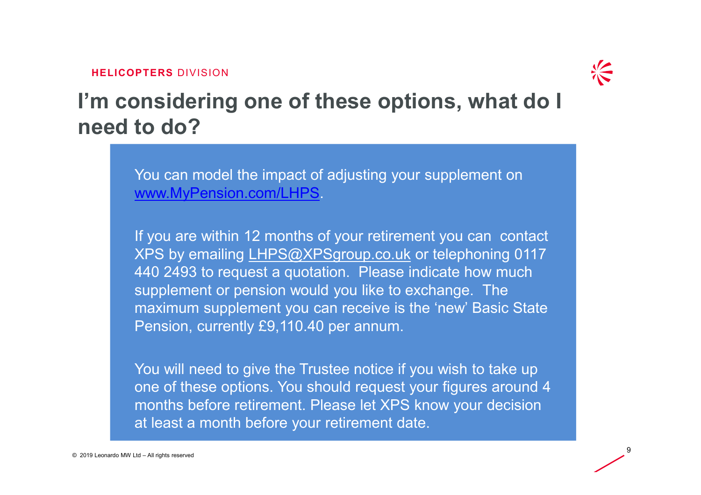

9

**I'm considering one of these options, what do I need to do?**

> You can model the impact of adjusting your supplement on www.MyPension.com/LHPS.

If you are within 12 months of your retirement you can contact XPS by emailing LHPS@XPSgroup.co.uk or telephoning 0117 440 2493 to request a quotation. Please indicate how much supplement or pension would you like to exchange. The maximum supplement you can receive is the 'new' Basic State Pension, currently £9,110.40 per annum.

You will need to give the Trustee notice if you wish to take up one of these options. You should request your figures around 4 months before retirement. Please let XPS know your decision at least a month before your retirement date.